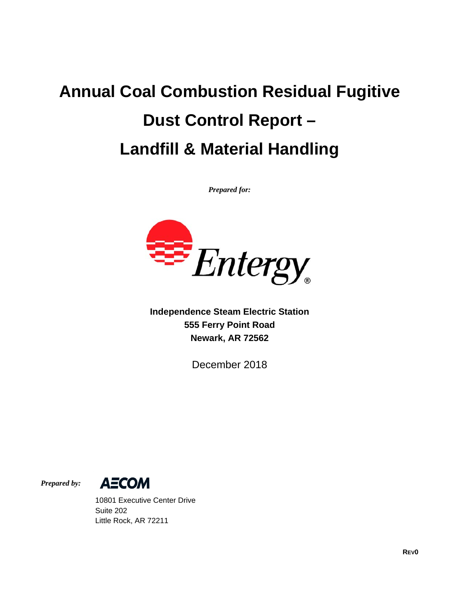# **Annual Coal Combustion Residual Fugitive Dust Control Report – Landfill & Material Handling**

*Prepared for:* 



**Independence Steam Electric Station 555 Ferry Point Road Newark, AR 72562** 

December 2018

*Prepared by:* 



 10801 Executive Center Drive Suite 202 Little Rock, AR 72211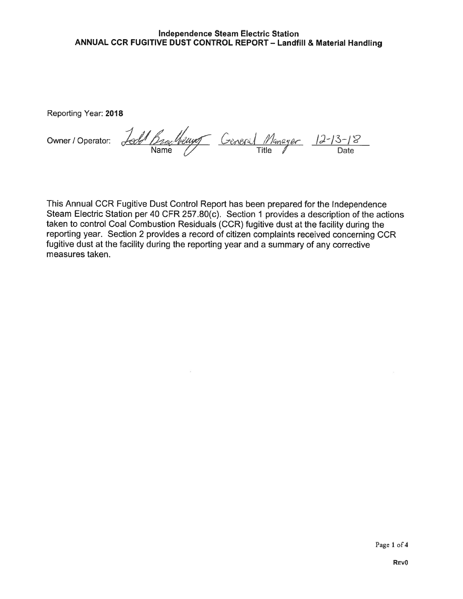#### Independence Steam Electric Station ANNUAL CCR FUGITIVE DUST CONTROL REPORT — Landfill & Material Handling

Reporting Year: 2018

Owner/Operator: Jose Brackey Ceneral Manager 12-13-1 Bracheur Ceneral Manager 12-13-1<br>Name *Title* Title Date

This Annual CCR Fugitive Dust Control Report has been prepared for the Independence Steam Electric Station per 40 CFR 257.80(c). Section <sup>1</sup> provides a description of the actions taken to control Coal Combustion Residuals (OCR) fugitive dust at the facility during the reporting year. Section 2 provides a record of citizen complaints received concerning OCR fugitive dust at the facility during the reporting year and a summary of any corrective measures taken.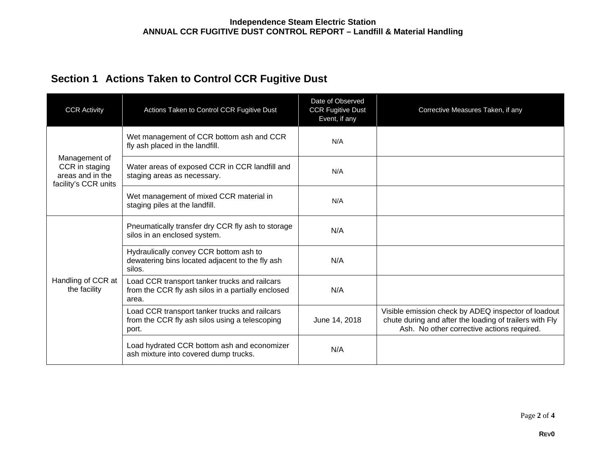## **Section 1 Actions Taken to Control CCR Fugitive Dust**

| <b>CCR Activity</b>                                                         | Actions Taken to Control CCR Fugitive Dust                                                                   | Date of Observed<br><b>CCR Fugitive Dust</b><br>Event, if any | Corrective Measures Taken, if any                                                                                                                            |
|-----------------------------------------------------------------------------|--------------------------------------------------------------------------------------------------------------|---------------------------------------------------------------|--------------------------------------------------------------------------------------------------------------------------------------------------------------|
| Management of<br>CCR in staging<br>areas and in the<br>facility's CCR units | Wet management of CCR bottom ash and CCR<br>fly ash placed in the landfill.                                  | N/A                                                           |                                                                                                                                                              |
|                                                                             | Water areas of exposed CCR in CCR landfill and<br>staging areas as necessary.                                | N/A                                                           |                                                                                                                                                              |
|                                                                             | Wet management of mixed CCR material in<br>staging piles at the landfill.                                    | N/A                                                           |                                                                                                                                                              |
| Handling of CCR at<br>the facility                                          | Pneumatically transfer dry CCR fly ash to storage<br>silos in an enclosed system.                            | N/A                                                           |                                                                                                                                                              |
|                                                                             | Hydraulically convey CCR bottom ash to<br>dewatering bins located adjacent to the fly ash<br>silos.          | N/A                                                           |                                                                                                                                                              |
|                                                                             | Load CCR transport tanker trucks and railcars<br>from the CCR fly ash silos in a partially enclosed<br>area. | N/A                                                           |                                                                                                                                                              |
|                                                                             | Load CCR transport tanker trucks and railcars<br>from the CCR fly ash silos using a telescoping<br>port.     | June 14, 2018                                                 | Visible emission check by ADEQ inspector of loadout<br>chute during and after the loading of trailers with Fly<br>Ash. No other corrective actions required. |
|                                                                             | Load hydrated CCR bottom ash and economizer<br>ash mixture into covered dump trucks.                         | N/A                                                           |                                                                                                                                                              |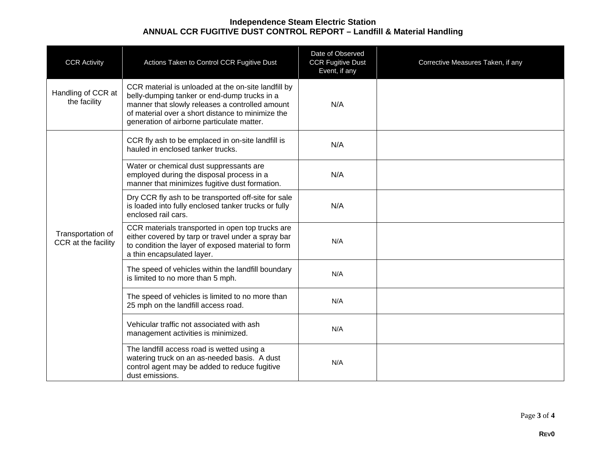#### **Independence Steam Electric Station ANNUAL CCR FUGITIVE DUST CONTROL REPORT – Landfill & Material Handling**

| <b>CCR Activity</b>                      | Actions Taken to Control CCR Fugitive Dust                                                                                                                                                                                                                | Date of Observed<br><b>CCR Fugitive Dust</b><br>Event, if any | Corrective Measures Taken, if any |
|------------------------------------------|-----------------------------------------------------------------------------------------------------------------------------------------------------------------------------------------------------------------------------------------------------------|---------------------------------------------------------------|-----------------------------------|
| Handling of CCR at<br>the facility       | CCR material is unloaded at the on-site landfill by<br>belly-dumping tanker or end-dump trucks in a<br>manner that slowly releases a controlled amount<br>of material over a short distance to minimize the<br>generation of airborne particulate matter. | N/A                                                           |                                   |
|                                          | CCR fly ash to be emplaced in on-site landfill is<br>hauled in enclosed tanker trucks.                                                                                                                                                                    | N/A                                                           |                                   |
| Transportation of<br>CCR at the facility | Water or chemical dust suppressants are<br>employed during the disposal process in a<br>manner that minimizes fugitive dust formation.                                                                                                                    | N/A                                                           |                                   |
|                                          | Dry CCR fly ash to be transported off-site for sale<br>is loaded into fully enclosed tanker trucks or fully<br>enclosed rail cars.                                                                                                                        | N/A                                                           |                                   |
|                                          | CCR materials transported in open top trucks are<br>either covered by tarp or travel under a spray bar<br>to condition the layer of exposed material to form<br>a thin encapsulated layer.                                                                | N/A                                                           |                                   |
|                                          | The speed of vehicles within the landfill boundary<br>is limited to no more than 5 mph.                                                                                                                                                                   | N/A                                                           |                                   |
|                                          | The speed of vehicles is limited to no more than<br>25 mph on the landfill access road.                                                                                                                                                                   | N/A                                                           |                                   |
|                                          | Vehicular traffic not associated with ash<br>management activities is minimized.                                                                                                                                                                          | N/A                                                           |                                   |
|                                          | The landfill access road is wetted using a<br>watering truck on an as-needed basis. A dust<br>control agent may be added to reduce fugitive<br>dust emissions.                                                                                            | N/A                                                           |                                   |